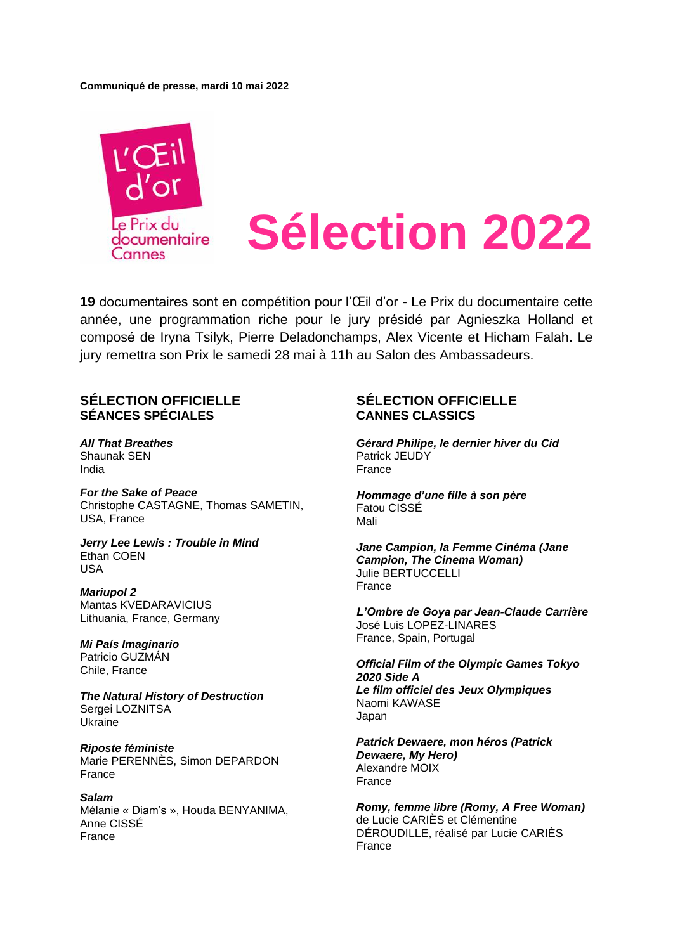#### **Communiqué de presse, mardi 10 mai 2022**



**19** documentaires sont en compétition pour l'Œil d'or - Le Prix du documentaire cette année, une programmation riche pour le jury présidé par Agnieszka Holland et composé de Iryna Tsilyk, Pierre Deladonchamps, Alex Vicente et Hicham Falah. Le jury remettra son Prix le samedi 28 mai à 11h au Salon des Ambassadeurs.

### **SÉLECTION OFFICIELLE SÉANCES SPÉCIALES**

*All That Breathes* Shaunak SEN India

*For the Sake of Peace* Christophe [CASTAGNE,](https://www.festival-cannes.com/fr/festival/artiste/christophe-castagne) Thomas [SAMETIN,](https://www.festival-cannes.com/fr/festival/artiste/thomas-sametin) USA, France

*Jerry Lee Lewis : Trouble in Mind* Ethan COEN USA

*Mariupol 2* Mantas KVEDARAVICIUS Lithuania, France, Germany

*Mi País Imaginario* Patricio GUZMÁN Chile, France

*The Natural History of Destruction* Sergei LOZNITSA Ukraine

*Riposte féministe* Marie PERENNÈS, Simon DEPARDON France

*Salam* Mélanie « Diam's », Houda BENYANIMA, Anne CISSÉ France

## **SÉLECTION OFFICIELLE CANNES CLASSICS**

*Gérard Philipe, le dernier hiver du Cid* Patrick JEUDY France

*Hommage d'une fille à son père* Fatou CISSÉ Mali

*Jane Campion, la Femme Cinéma (Jane Campion, The Cinema Woman)* Julie BERTUCCELLI France

*L'Ombre de Goya par Jean-Claude Carrière* José Luis LOPEZ-LINARES France, Spain, Portugal

*Official Film of the Olympic Games Tokyo 2020 Side A Le film officiel des Jeux Olympiques* Naomi KAWASE Japan

*Patrick Dewaere, mon héros (Patrick Dewaere, My Hero)* Alexandre MOIX France

*Romy, femme libre (Romy, A Free Woman)* de Lucie CARIÈS et Clémentine DÉROUDILLE, réalisé par Lucie CARIÈS France